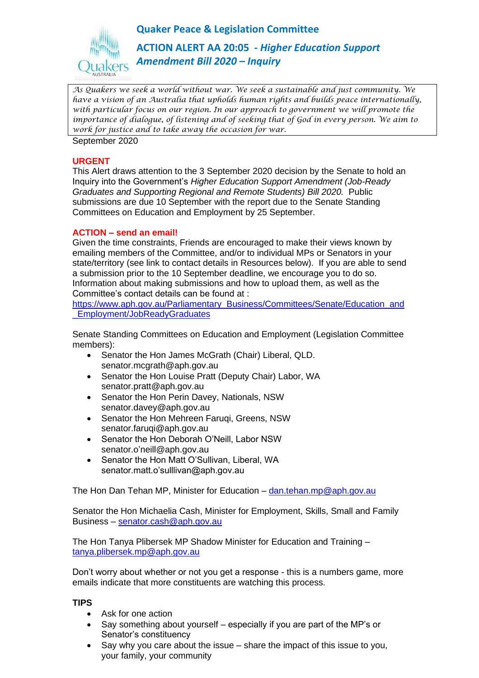**Quaker Peace & Legislation Committee**



**ACTION ALERT AA 20:05 -** *Higher Education Support Amendment Bill 2020 – Inquiry* 

*As Quakers we seek a world without war. We seek a sustainable and just community. We have a vision of an Australia that upholds human rights and builds peace internationally, with particular focus on our region. In our approach to government we will promote the importance of dialogue, of listening and of seeking that of God in every person. We aim to work for justice and to take away the occasion for war.*

September 2020

### **URGENT**

This Alert draws attention to the 3 September 2020 decision by the Senate to hold an Inquiry into the Government's *Higher Education Support Amendment (Job-Ready Graduates and Supporting Regional and Remote Students) Bill 2020.* Public submissions are due 10 September with the report due to the Senate Standing Committees on Education and Employment by 25 September.

## **ACTION – send an email!**

Given the time constraints, Friends are encouraged to make their views known by emailing members of the Committee, and/or to individual MPs or Senators in your state/territory (see link to contact details in Resources below). If you are able to send a submission prior to the 10 September deadline, we encourage you to do so. Information about making submissions and how to upload them, as well as the Committee's contact details can be found at :

[https://www.aph.gov.au/Parliamentary\\_Business/Committees/Senate/Education\\_and](https://www.aph.gov.au/Parliamentary_Business/Committees/Senate/Education_and_Employment/JobReadyGraduates) [\\_Employment/JobReadyGraduates](https://www.aph.gov.au/Parliamentary_Business/Committees/Senate/Education_and_Employment/JobReadyGraduates)

Senate Standing Committees on Education and Employment (Legislation Committee members):

- Senator the Hon James McGrath (Chair) Liberal, QLD. senator.mcgrath@aph.gov.au
- Senator the Hon Louise Pratt (Deputy Chair) Labor, WA senator.pratt@aph.gov.au
- Senator the Hon Perin Davey, Nationals, NSW senator.davey@aph.gov.au
- Senator the Hon Mehreen Faruqi, Greens, NSW senator.faruqi@aph.gov.au
- Senator the Hon Deborah O'Neill, Labor NSW senator.o'neill@aph.gov.au
- Senator the Hon Matt O'Sullivan, Liberal, WA senator.matt.o'sulllivan@aph.gov.au

The Hon Dan Tehan MP, Minister for Education – [dan.tehan.mp@aph.gov.au](mailto:dan.tehan.mp@aph.gov.au)

Senator the Hon Michaelia Cash, Minister for Employment, Skills, Small and Family Business – [senator.cash@aph.gov.au](mailto:senator.cash@aph.gov.au)

The Hon Tanya Plibersek MP Shadow Minister for Education and Training – [tanya.plibersek.mp@aph.gov.au](mailto:tanya.plibersek.mp@aph.gov.au)

Don't worry about whether or not you get a response - this is a numbers game, more emails indicate that more constituents are watching this process.

## **TIPS**

- Ask for one action
- Say something about yourself especially if you are part of the MP's or Senator's constituency
- Say why you care about the issue share the impact of this issue to you, your family, your community